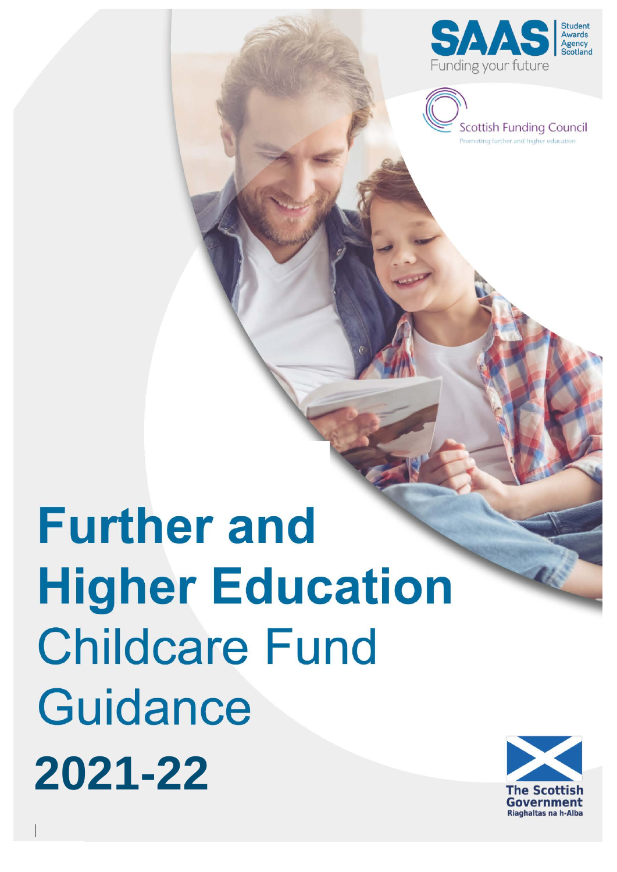



# **Further and Higher Education Childcare Fund** Guidance **2021-22**

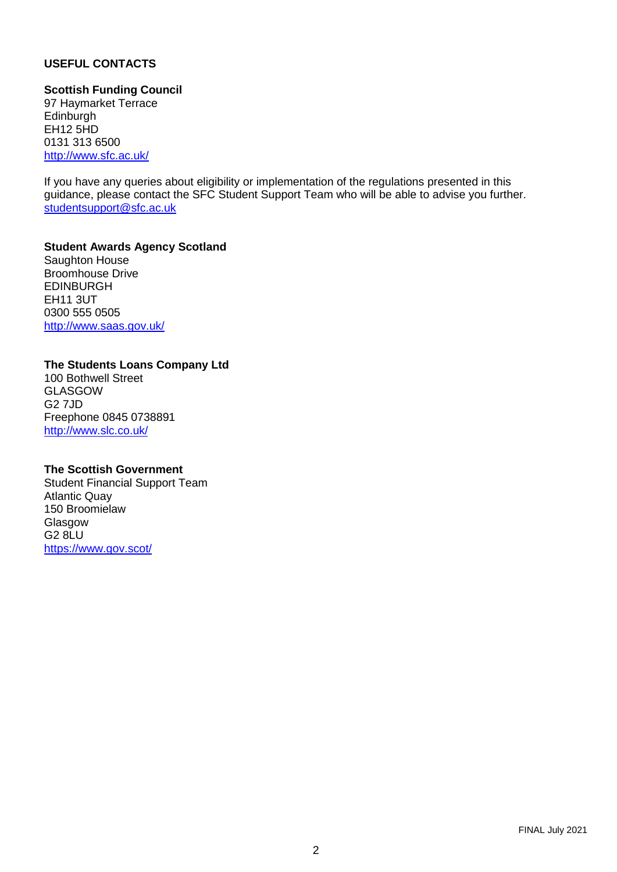# **USEFUL CONTACTS**

#### **Scottish Funding Council**

97 Haymarket Terrace **Edinburgh** EH12 5HD 0131 313 6500 <http://www.sfc.ac.uk/>

If you have any queries about eligibility or implementation of the regulations presented in this guidance, please contact the SFC Student Support Team who will be able to advise you further. [studentsupport@sfc.ac.uk](mailto:studentsupport@sfc.ac.uk)

#### **Student Awards Agency Scotland** Saughton House

Broomhouse Drive EDINBURGH EH11 3UT 0300 555 0505 <http://www.saas.gov.uk/>

#### **The Students Loans Company Ltd**

100 Bothwell Street GLASGOW G2 7JD Freephone 0845 0738891 <http://www.slc.co.uk/>

#### **The Scottish Government**

Student Financial Support Team Atlantic Quay 150 Broomielaw Glasgow G2 8LU <https://www.gov.scot/>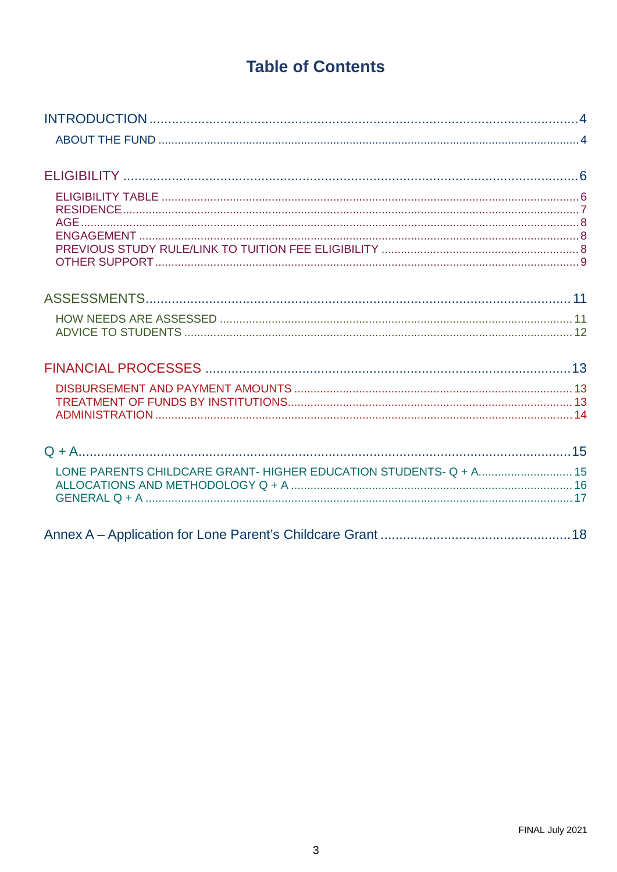# **Table of Contents**

<span id="page-2-0"></span>

| LONE PARENTS CHILDCARE GRANT- HIGHER EDUCATION STUDENTS- Q + A 15 |  |
|-------------------------------------------------------------------|--|
|                                                                   |  |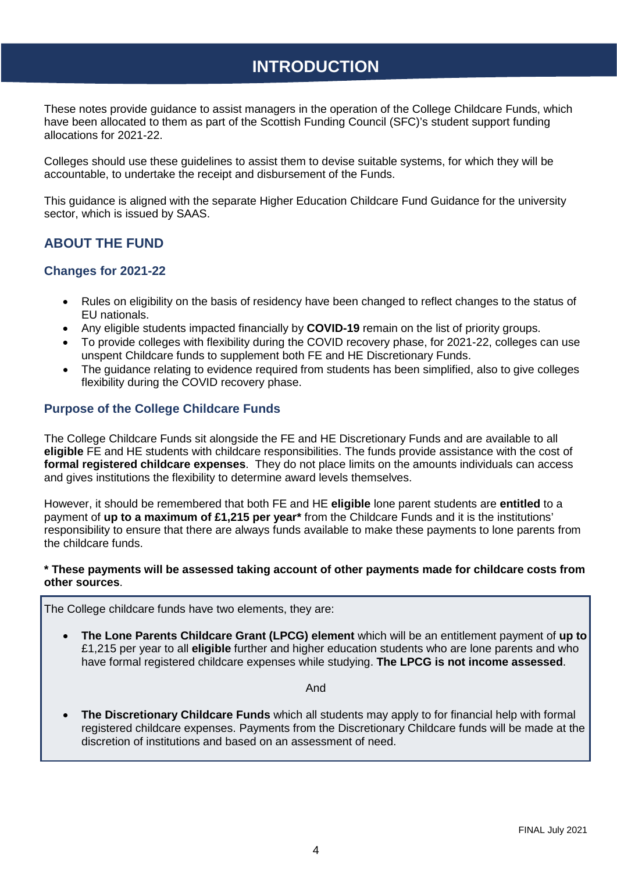# **INTRODUCTION**

<span id="page-3-0"></span>These notes provide guidance to assist managers in the operation of the College Childcare Funds, which have been allocated to them as part of the Scottish Funding Council (SFC)'s student support funding allocations for 2021-22.

Colleges should use these guidelines to assist them to devise suitable systems, for which they will be accountable, to undertake the receipt and disbursement of the Funds.

This guidance is aligned with the separate Higher Education Childcare Fund Guidance for the university sector, which is issued by SAAS.

# <span id="page-3-1"></span>**ABOUT THE FUND**

#### **Changes for 2021-22**

- Rules on eligibility on the basis of residency have been changed to reflect changes to the status of EU nationals.
- Any eligible students impacted financially by **COVID-19** remain on the list of priority groups.
- To provide colleges with flexibility during the COVID recovery phase, for 2021-22, colleges can use unspent Childcare funds to supplement both FE and HE Discretionary Funds.
- The guidance relating to evidence required from students has been simplified, also to give colleges flexibility during the COVID recovery phase.

## **Purpose of the College Childcare Funds**

The College Childcare Funds sit alongside the FE and HE Discretionary Funds and are available to all **eligible** FE and HE students with childcare responsibilities. The funds provide assistance with the cost of **formal registered childcare expenses**. They do not place limits on the amounts individuals can access and gives institutions the flexibility to determine award levels themselves.

However, it should be remembered that both FE and HE **eligible** lone parent students are **entitled** to a payment of **up to a maximum of £1,215 per year\*** from the Childcare Funds and it is the institutions' responsibility to ensure that there are always funds available to make these payments to lone parents from the childcare funds.

#### **\* These payments will be assessed taking account of other payments made for childcare costs from other sources**.

The College childcare funds have two elements, they are:

• **The Lone Parents Childcare Grant (LPCG) element** which will be an entitlement payment of **up to** £1,215 per year to all **eligible** further and higher education students who are lone parents and who have formal registered childcare expenses while studying. **The LPCG is not income assessed**.

And

• **The Discretionary Childcare Funds** which all students may apply to for financial help with formal registered childcare expenses. Payments from the Discretionary Childcare funds will be made at the discretion of institutions and based on an assessment of need.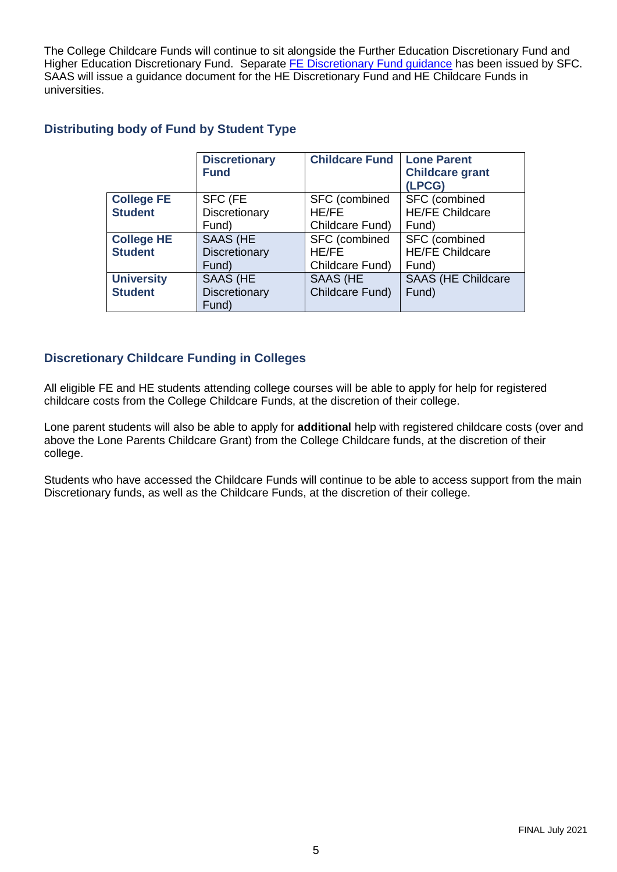The College Childcare Funds will continue to sit alongside the Further Education Discretionary Fund and Higher Education [Discretionary Fund](http://www.sfc.ac.uk/publications-statistics/guidance/2021/SFCGD092021.aspx). Separate FE Discretionary Fund guidance has been issued by SFC. SAAS will issue a guidance document for the HE Discretionary Fund and HE Childcare Funds in universities.

# **Distributing body of Fund by Student Type**

|                   | <b>Discretionary</b><br><b>Fund</b> | <b>Childcare Fund</b> | <b>Lone Parent</b><br><b>Childcare grant</b><br>(LPCG) |
|-------------------|-------------------------------------|-----------------------|--------------------------------------------------------|
| <b>College FE</b> | SFC (FE                             | SFC (combined         | SFC (combined                                          |
| <b>Student</b>    | Discretionary                       | <b>HE/FE</b>          | <b>HE/FE Childcare</b>                                 |
|                   | Fund)                               | Childcare Fund)       | Fund)                                                  |
| <b>College HE</b> | <b>SAAS (HE</b>                     | SFC (combined         | SFC (combined                                          |
| <b>Student</b>    | Discretionary                       | <b>HE/FE</b>          | <b>HE/FE Childcare</b>                                 |
|                   | Fund)                               | Childcare Fund)       | Fund)                                                  |
| <b>University</b> | <b>SAAS (HE</b>                     | <b>SAAS (HE</b>       | <b>SAAS (HE Childcare</b>                              |
| <b>Student</b>    | Discretionary<br>Fund)              | Childcare Fund)       | Fund)                                                  |

# **Discretionary Childcare Funding in Colleges**

All eligible FE and HE students attending college courses will be able to apply for help for registered childcare costs from the College Childcare Funds, at the discretion of their college.

Lone parent students will also be able to apply for **additional** help with registered childcare costs (over and above the Lone Parents Childcare Grant) from the College Childcare funds, at the discretion of their college.

Students who have accessed the Childcare Funds will continue to be able to access support from the main Discretionary funds, as well as the Childcare Funds, at the discretion of their college.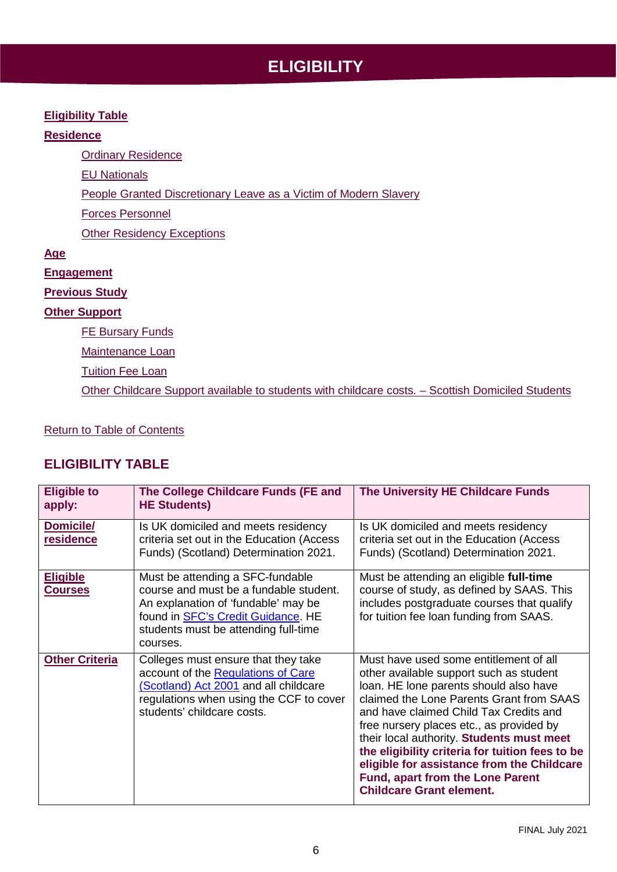# **ELIGIBILITY**

#### <span id="page-5-0"></span>**[Eligibility Table](#page-5-1)**

## **[Residence](#page-6-1)**

**[Ordinary Residence](#page-6-2)** 

EU Nationals

[People Granted Discretionary Leave as a Victim of Modern Slavery](#page-7-3)

[Forces Personnel](#page-7-4)

[Other Residency Exceptions](#page-7-5)

#### **[Age](#page-7-6)**

**[Engagement](#page-7-7)**

# **[Previous Study](#page-7-8)**

## **[Other Support](#page-7-9)**

**[FE](#page-8-1) Bursary Funds** 

[Maintenance Loan](#page-8-1)

[Tuition Fee Loan](#page-8-2)

[Other Childcare Support available to students with childcare costs. –](#page-8-2) Scottish Domiciled Students

## [Return to Table of Contents](#page-2-0)

# <span id="page-5-1"></span>**ELIGIBILITY TABLE**

| <b>Eligible to</b><br>apply:      | The College Childcare Funds (FE and<br><b>HE Students)</b>                                                                                                                                                          | The University HE Childcare Funds                                                                                                                                                                                                                                                                                                                                                                                                                                                         |
|-----------------------------------|---------------------------------------------------------------------------------------------------------------------------------------------------------------------------------------------------------------------|-------------------------------------------------------------------------------------------------------------------------------------------------------------------------------------------------------------------------------------------------------------------------------------------------------------------------------------------------------------------------------------------------------------------------------------------------------------------------------------------|
| Domicile/<br>residence            | Is UK domiciled and meets residency<br>criteria set out in the Education (Access<br>Funds) (Scotland) Determination 2021.                                                                                           | Is UK domiciled and meets residency<br>criteria set out in the Education (Access<br>Funds) (Scotland) Determination 2021.                                                                                                                                                                                                                                                                                                                                                                 |
| <b>Eligible</b><br><b>Courses</b> | Must be attending a SFC-fundable<br>course and must be a fundable student.<br>An explanation of 'fundable' may be<br>found in <b>SFC's Credit Guidance</b> . HE<br>students must be attending full-time<br>courses. | Must be attending an eligible full-time<br>course of study, as defined by SAAS. This<br>includes postgraduate courses that qualify<br>for tuition fee loan funding from SAAS.                                                                                                                                                                                                                                                                                                             |
| <b>Other Criteria</b>             | Colleges must ensure that they take<br>account of the Regulations of Care<br>(Scotland) Act 2001 and all childcare<br>regulations when using the CCF to cover<br>students' childcare costs.                         | Must have used some entitlement of all<br>other available support such as student<br>loan. HE lone parents should also have<br>claimed the Lone Parents Grant from SAAS<br>and have claimed Child Tax Credits and<br>free nursery places etc., as provided by<br>their local authority. Students must meet<br>the eligibility criteria for tuition fees to be<br>eligible for assistance from the Childcare<br><b>Fund, apart from the Lone Parent</b><br><b>Childcare Grant element.</b> |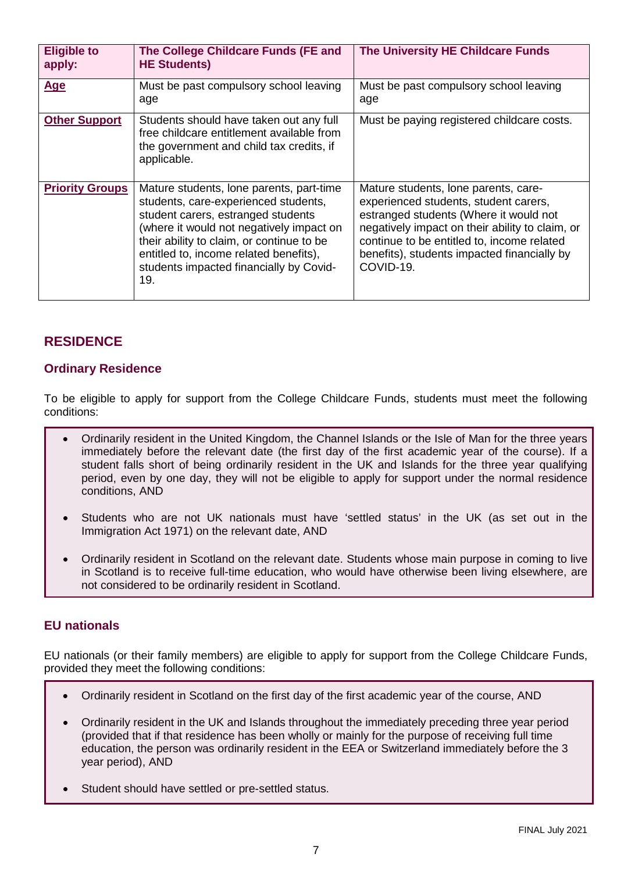| <b>Eligible to</b><br>apply: | The College Childcare Funds (FE and<br><b>HE Students)</b>                                                                                                                                                                                                                                                  | The University HE Childcare Funds                                                                                                                                                                                                                                                    |
|------------------------------|-------------------------------------------------------------------------------------------------------------------------------------------------------------------------------------------------------------------------------------------------------------------------------------------------------------|--------------------------------------------------------------------------------------------------------------------------------------------------------------------------------------------------------------------------------------------------------------------------------------|
| <b>Age</b>                   | Must be past compulsory school leaving<br>age                                                                                                                                                                                                                                                               | Must be past compulsory school leaving<br>age                                                                                                                                                                                                                                        |
| <b>Other Support</b>         | Students should have taken out any full<br>free childcare entitlement available from<br>the government and child tax credits, if<br>applicable.                                                                                                                                                             | Must be paying registered childcare costs.                                                                                                                                                                                                                                           |
| <b>Priority Groups</b>       | Mature students, lone parents, part-time<br>students, care-experienced students,<br>student carers, estranged students<br>(where it would not negatively impact on<br>their ability to claim, or continue to be<br>entitled to, income related benefits),<br>students impacted financially by Covid-<br>19. | Mature students, lone parents, care-<br>experienced students, student carers,<br>estranged students (Where it would not<br>negatively impact on their ability to claim, or<br>continue to be entitled to, income related<br>benefits), students impacted financially by<br>COVID-19. |

# <span id="page-6-1"></span><span id="page-6-0"></span>**RESIDENCE**

## <span id="page-6-2"></span>**Ordinary Residence**

To be eligible to apply for support from the College Childcare Funds, students must meet the following conditions:

- Ordinarily resident in the United Kingdom, the Channel Islands or the Isle of Man for the three years immediately before the relevant date (the first day of the first academic year of the course). If a student falls short of being ordinarily resident in the UK and Islands for the three year qualifying period, even by one day, they will not be eligible to apply for support under the normal residence conditions, AND
- Students who are not UK nationals must have 'settled status' in the UK (as set out in the Immigration Act 1971) on the relevant date, AND
- Ordinarily resident in Scotland on the relevant date. Students whose main purpose in coming to live in Scotland is to receive full-time education, who would have otherwise been living elsewhere, are not considered to be ordinarily resident in Scotland.

# **EU nationals**

EU nationals (or their family members) are eligible to apply for support from the College Childcare Funds, provided they meet the following conditions:

- Ordinarily resident in Scotland on the first day of the first academic year of the course, AND
- Ordinarily resident in the UK and Islands throughout the immediately preceding three year period (provided that if that residence has been wholly or mainly for the purpose of receiving full time education, the person was ordinarily resident in the EEA or Switzerland immediately before the 3 year period), AND
- Student should have settled or pre-settled status.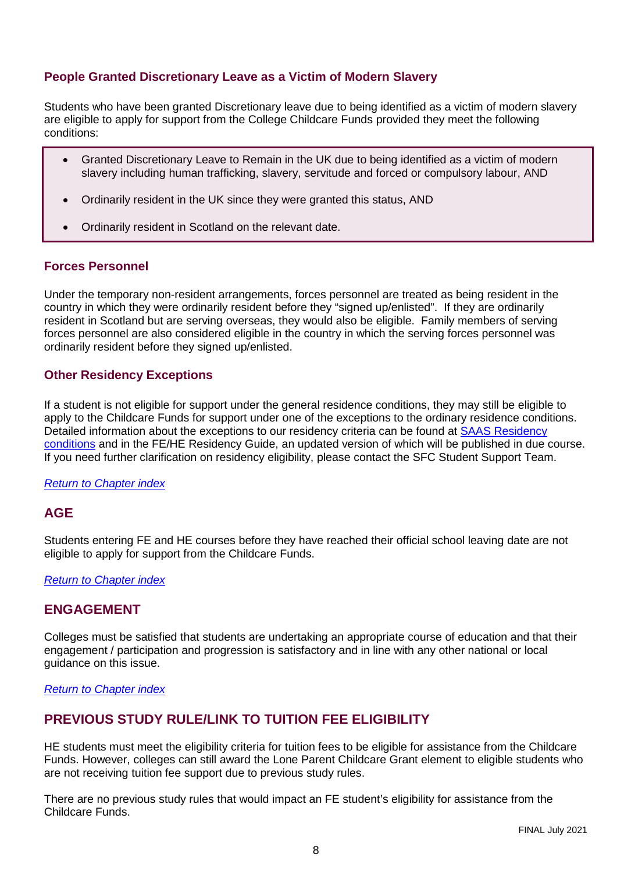# <span id="page-7-3"></span>**People Granted Discretionary Leave as a Victim of Modern Slavery**

Students who have been granted Discretionary leave due to being identified as a victim of modern slavery are eligible to apply for support from the College Childcare Funds provided they meet the following conditions:

- Granted Discretionary Leave to Remain in the UK due to being identified as a victim of modern slavery including human trafficking, slavery, servitude and forced or compulsory labour, AND
- Ordinarily resident in the UK since they were granted this status, AND
- Ordinarily resident in Scotland on the relevant date.

## <span id="page-7-4"></span>**Forces Personnel**

Under the temporary non-resident arrangements, forces personnel are treated as being resident in the country in which they were ordinarily resident before they "signed up/enlisted". If they are ordinarily resident in Scotland but are serving overseas, they would also be eligible. Family members of serving forces personnel are also considered eligible in the country in which the serving forces personnel was ordinarily resident before they signed up/enlisted.

## <span id="page-7-5"></span>**Other Residency Exceptions**

If a student is not eligible for support under the general residence conditions, they may still be eligible to apply to the Childcare Funds for support under one of the exceptions to the ordinary residence conditions. Detailed information about the exceptions to our residency criteria can be found at SAAS Residency [conditions](https://www.saas.gov.uk/files/507/saas-residence-conditions-outside-uk-eu-eea-switzerland.pdf) and in the FE/HE Residency Guide, an updated version of which will be published in due course. If you need further clarification on residency eligibility, please contact the SFC Student Support Team.

#### <span id="page-7-6"></span>*[Return to Chapter index](#page-5-0)*

# <span id="page-7-0"></span>**AGE**

Students entering FE and HE courses before they have reached their official school leaving date are not eligible to apply for support from the Childcare Funds.

#### <span id="page-7-7"></span>*[Return to Chapter index](#page-5-0)*

# <span id="page-7-1"></span>**ENGAGEMENT**

Colleges must be satisfied that students are undertaking an appropriate course of education and that their engagement / participation and progression is satisfactory and in line with any other national or local guidance on this issue.

#### <span id="page-7-8"></span>*[Return to Chapter index](#page-5-0)*

# <span id="page-7-2"></span>**PREVIOUS STUDY RULE/LINK TO TUITION FEE ELIGIBILITY**

<span id="page-7-9"></span>HE students must meet the eligibility criteria for tuition fees to be eligible for assistance from the Childcare Funds. However, colleges can still award the Lone Parent Childcare Grant element to eligible students who are not receiving tuition fee support due to previous study rules.

There are no previous study rules that would impact an FE student's eligibility for assistance from the Childcare Funds.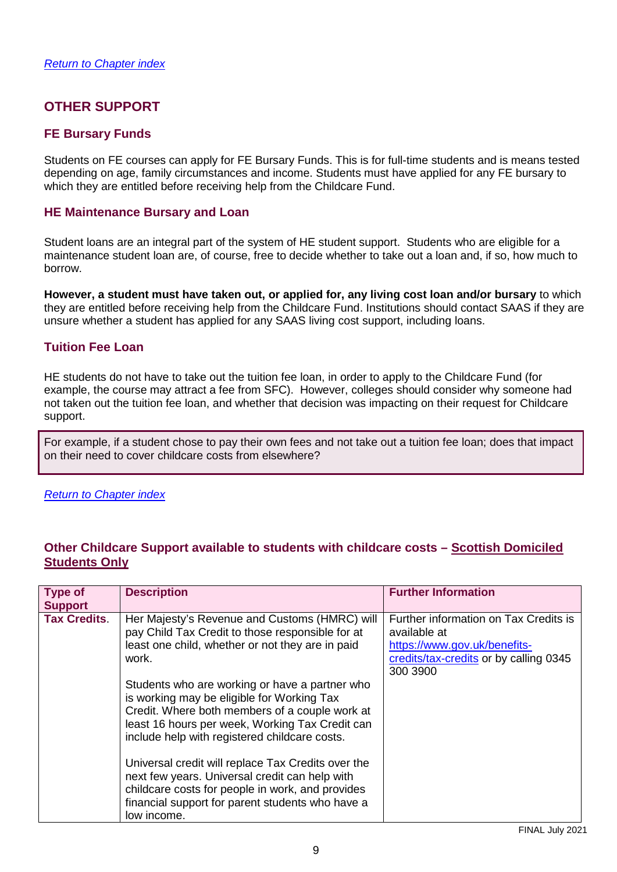# <span id="page-8-3"></span><span id="page-8-0"></span>**OTHER SUPPORT**

# <span id="page-8-1"></span>**FE Bursary Funds**

Students on FE courses can apply for FE Bursary Funds. This is for full-time students and is means tested depending on age, family circumstances and income. Students must have applied for any FE bursary to which they are entitled before receiving help from the Childcare Fund.

# **HE Maintenance Bursary and Loan**

Student loans are an integral part of the system of HE student support. Students who are eligible for a maintenance student loan are, of course, free to decide whether to take out a loan and, if so, how much to borrow.

**However, a student must have taken out, or applied for, any living cost loan and/or bursary** to which they are entitled before receiving help from the Childcare Fund. Institutions should contact SAAS if they are unsure whether a student has applied for any SAAS living cost support, including loans.

## **Tuition Fee Loan**

HE students do not have to take out the tuition fee loan, in order to apply to the Childcare Fund (for example, the course may attract a fee from SFC). However, colleges should consider why someone had not taken out the tuition fee loan, and whether that decision was impacting on their request for Childcare support.

For example, if a student chose to pay their own fees and not take out a tuition fee loan; does that impact on their need to cover childcare costs from elsewhere?

#### <span id="page-8-2"></span>*[Return to Chapter index](#page-5-0)*

# **Other Childcare Support available to students with childcare costs – Scottish Domiciled Students Only**

| <b>Type of</b><br><b>Support</b> | <b>Description</b>                                                                                                                                                                                                                                 | <b>Further Information</b>                                                                                                                  |
|----------------------------------|----------------------------------------------------------------------------------------------------------------------------------------------------------------------------------------------------------------------------------------------------|---------------------------------------------------------------------------------------------------------------------------------------------|
| <b>Tax Credits.</b>              | Her Majesty's Revenue and Customs (HMRC) will<br>pay Child Tax Credit to those responsible for at<br>least one child, whether or not they are in paid<br>work.                                                                                     | Further information on Tax Credits is<br>available at<br>https://www.gov.uk/benefits-<br>credits/tax-credits or by calling 0345<br>300 3900 |
|                                  | Students who are working or have a partner who<br>is working may be eligible for Working Tax<br>Credit. Where both members of a couple work at<br>least 16 hours per week, Working Tax Credit can<br>include help with registered childcare costs. |                                                                                                                                             |
|                                  | Universal credit will replace Tax Credits over the<br>next few years. Universal credit can help with<br>childcare costs for people in work, and provides<br>financial support for parent students who have a<br>low income.                        |                                                                                                                                             |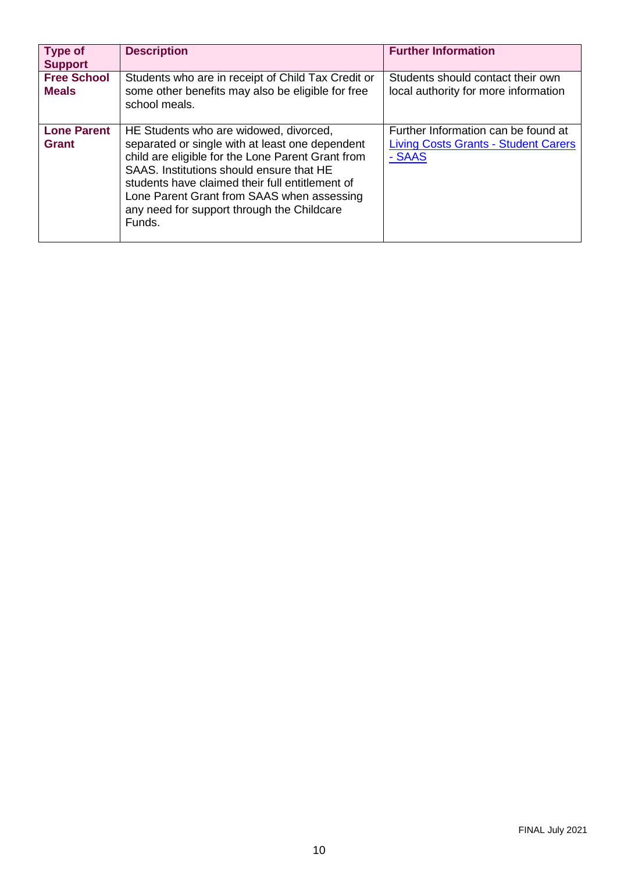| <b>Type of</b><br><b>Support</b>   | <b>Description</b>                                                                                                                                                                                                                                                                                                                                  | <b>Further Information</b>                                                                   |
|------------------------------------|-----------------------------------------------------------------------------------------------------------------------------------------------------------------------------------------------------------------------------------------------------------------------------------------------------------------------------------------------------|----------------------------------------------------------------------------------------------|
| <b>Free School</b><br><b>Meals</b> | Students who are in receipt of Child Tax Credit or<br>some other benefits may also be eligible for free<br>school meals.                                                                                                                                                                                                                            | Students should contact their own<br>local authority for more information                    |
| <b>Lone Parent</b><br>Grant        | HE Students who are widowed, divorced,<br>separated or single with at least one dependent<br>child are eligible for the Lone Parent Grant from<br>SAAS. Institutions should ensure that HE<br>students have claimed their full entitlement of<br>Lone Parent Grant from SAAS when assessing<br>any need for support through the Childcare<br>Funds. | Further Information can be found at<br><b>Living Costs Grants - Student Carers</b><br>- SAAS |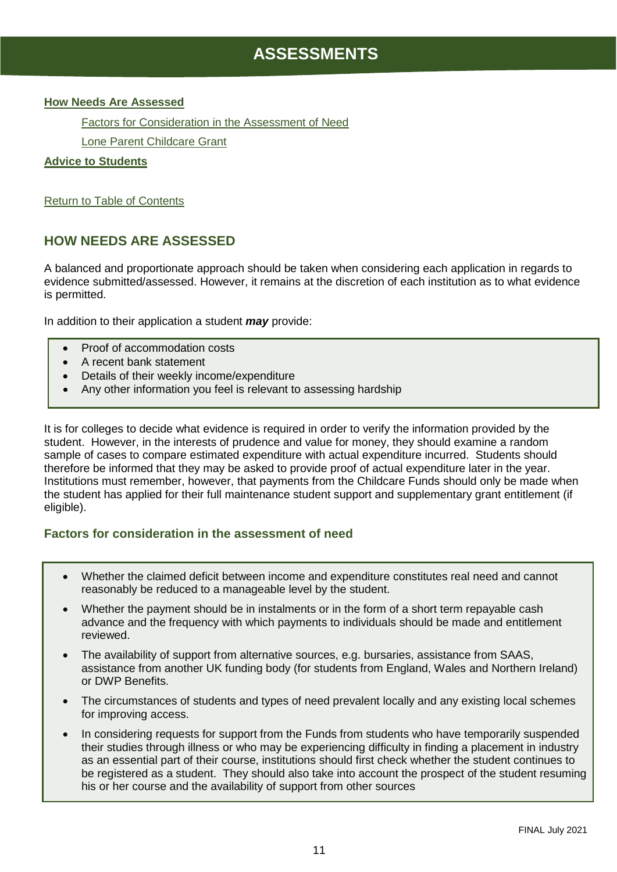# <span id="page-10-2"></span>**ASSESSMENTS**

#### <span id="page-10-0"></span>**[How Needs Are Assessed](#page-10-1)**

Factors for Consideration in the Assessment of Need

[Lone Parent Childcare Grant](#page-11-1)

#### **[Advice to Students](#page-11-0)**

[Return to Table of Contents](#page-2-0)

# <span id="page-10-1"></span>**HOW NEEDS ARE ASSESSED**

A balanced and proportionate approach should be taken when considering each application in regards to evidence submitted/assessed. However, it remains at the discretion of each institution as to what evidence is permitted.

In addition to their application a student *may* provide:

- Proof of accommodation costs
- A recent bank statement
- Details of their weekly income/expenditure
- Any other information you feel is relevant to assessing hardship

It is for colleges to decide what evidence is required in order to verify the information provided by the student. However, in the interests of prudence and value for money, they should examine a random sample of cases to compare estimated expenditure with actual expenditure incurred. Students should therefore be informed that they may be asked to provide proof of actual expenditure later in the year. Institutions must remember, however, that payments from the Childcare Funds should only be made when the student has applied for their full maintenance student support and supplementary grant entitlement (if eligible).

# **Factors for consideration in the assessment of need**

- Whether the claimed deficit between income and expenditure constitutes real need and cannot reasonably be reduced to a manageable level by the student.
- Whether the payment should be in instalments or in the form of a short term repayable cash advance and the frequency with which payments to individuals should be made and entitlement reviewed.
- The availability of support from alternative sources, e.g. bursaries, assistance from SAAS, assistance from another UK funding body (for students from England, Wales and Northern Ireland) or DWP Benefits.
- The circumstances of students and types of need prevalent locally and any existing local schemes for improving access.
- In considering requests for support from the Funds from students who have temporarily suspended their studies through illness or who may be experiencing difficulty in finding a placement in industry as an essential part of their course, institutions should first check whether the student continues to be registered as a student. They should also take into account the prospect of the student resuming his or her course and the availability of support from other sources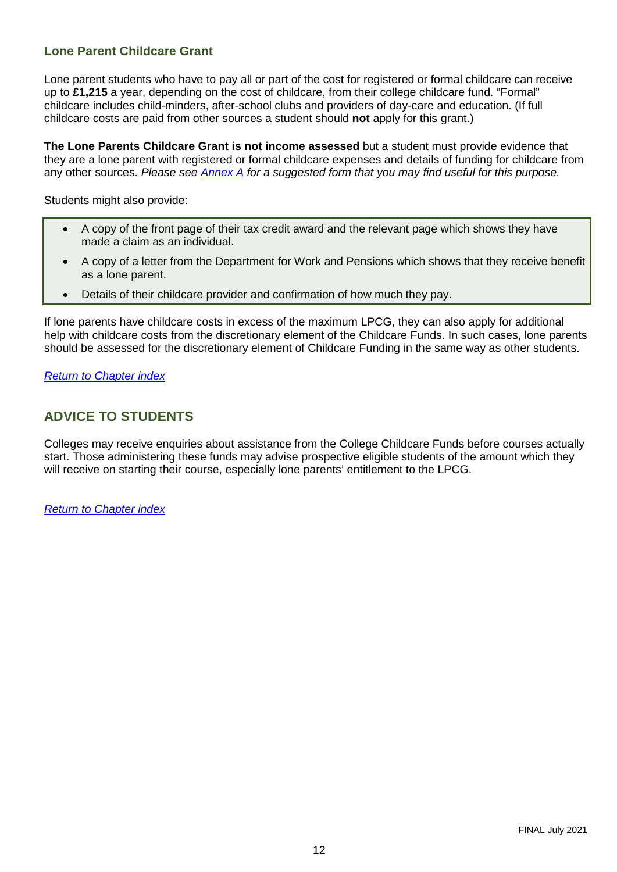# <span id="page-11-1"></span>**Lone Parent Childcare Grant**

Lone parent students who have to pay all or part of the cost for registered or formal childcare can receive up to **£1,215** a year, depending on the cost of childcare, from their college childcare fund. "Formal" childcare includes child-minders, after-school clubs and providers of day-care and education. (If full childcare costs are paid from other sources a student should **not** apply for this grant.)

**The Lone Parents Childcare Grant is not income assessed** but a student must provide evidence that they are a lone parent with registered or formal childcare expenses and details of funding for childcare from any other sources. *Please see [Annex A](#page-17-0) for a suggested form that you may find useful for this purpose.*

Students might also provide:

- A copy of the front page of their tax credit award and the relevant page which shows they have made a claim as an individual.
- A copy of a letter from the Department for Work and Pensions which shows that they receive benefit as a lone parent.
- Details of their childcare provider and confirmation of how much they pay.

If lone parents have childcare costs in excess of the maximum LPCG, they can also apply for additional help with childcare costs from the discretionary element of the Childcare Funds. In such cases, lone parents should be assessed for the discretionary element of Childcare Funding in the same way as other students.

*[Return to Chapter index](#page-10-2)*

# <span id="page-11-0"></span>**ADVICE TO STUDENTS**

Colleges may receive enquiries about assistance from the College Childcare Funds before courses actually start. Those administering these funds may advise prospective eligible students of the amount which they will receive on starting their course, especially lone parents' entitlement to the LPCG.

*[Return to Chapter index](#page-10-2)*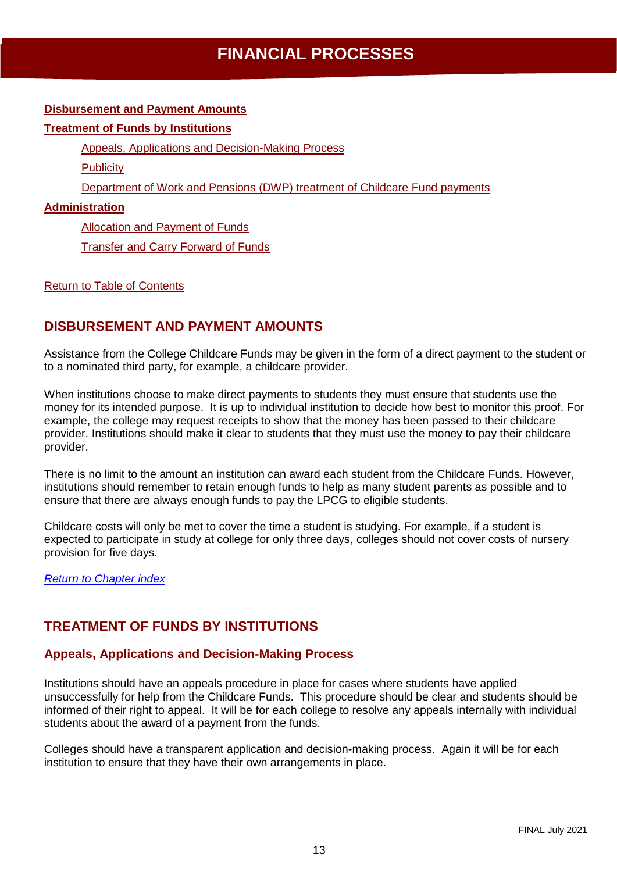# <span id="page-12-5"></span>**FINANCIAL PROCESSES**

#### <span id="page-12-0"></span>**[Disbursement and Payment Amounts](#page-12-1)**

#### **[Treatment of Funds by Institutions](#page-12-2)**

[Appeals, Applications and Decision-Making](#page-12-3) Process

**[Publicity](#page-12-4)** 

[Department of Work and Pensions \(DWP\) treatment of Childcare](#page-13-1) Fund payments

#### **[Administration](#page-13-0)**

[Allocation and Payment of Funds](#page-13-2)

[Transfer and Carry Forward of Funds](#page-13-3)

#### [Return to Table of Contents](#page-2-0)

# <span id="page-12-1"></span>**DISBURSEMENT AND PAYMENT AMOUNTS**

Assistance from the College Childcare Funds may be given in the form of a direct payment to the student or to a nominated third party, for example, a childcare provider.

When institutions choose to make direct payments to students they must ensure that students use the money for its intended purpose. It is up to individual institution to decide how best to monitor this proof. For example, the college may request receipts to show that the money has been passed to their childcare provider. Institutions should make it clear to students that they must use the money to pay their childcare provider.

There is no limit to the amount an institution can award each student from the Childcare Funds. However, institutions should remember to retain enough funds to help as many student parents as possible and to ensure that there are always enough funds to pay the LPCG to eligible students.

Childcare costs will only be met to cover the time a student is studying. For example, if a student is expected to participate in study at college for only three days, colleges should not cover costs of nursery provision for five days.

*[Return to Chapter index](#page-12-5)*

# <span id="page-12-2"></span>**TREATMENT OF FUNDS BY INSTITUTIONS**

# <span id="page-12-3"></span>**Appeals, Applications and Decision-Making Process**

<span id="page-12-4"></span>Institutions should have an appeals procedure in place for cases where students have applied unsuccessfully for help from the Childcare Funds. This procedure should be clear and students should be informed of their right to appeal. It will be for each college to resolve any appeals internally with individual students about the award of a payment from the funds.

Colleges should have a transparent application and decision-making process. Again it will be for each institution to ensure that they have their own arrangements in place.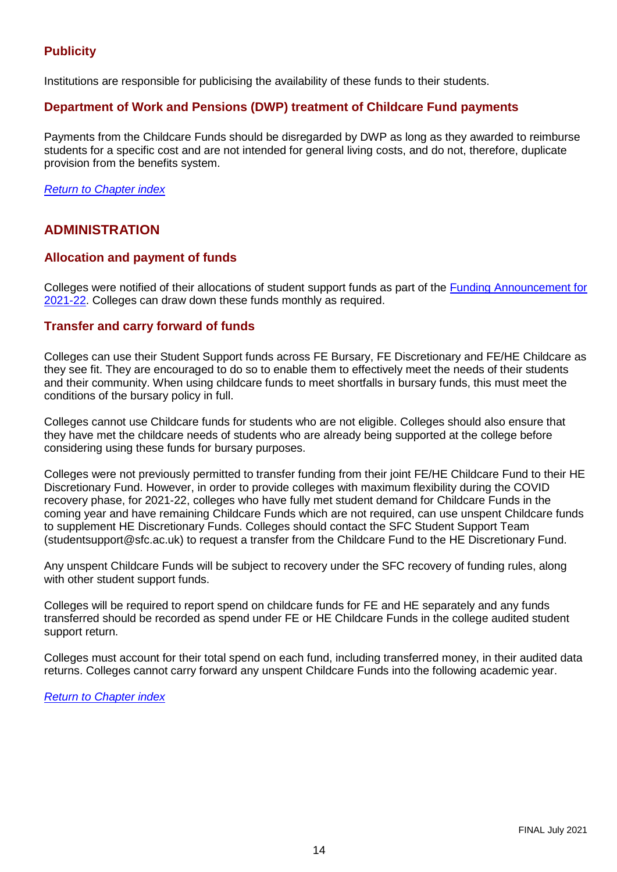# **Publicity**

<span id="page-13-1"></span>Institutions are responsible for publicising the availability of these funds to their students.

## **Department of Work and Pensions (DWP) treatment of Childcare Fund payments**

Payments from the Childcare Funds should be disregarded by DWP as long as they awarded to reimburse students for a specific cost and are not intended for general living costs, and do not, therefore, duplicate provision from the benefits system.

*[Return to Chapter index](#page-12-5)*

# <span id="page-13-0"></span>**ADMINISTRATION**

# <span id="page-13-2"></span>**Allocation and payment of funds**

Colleges were notified of their allocations of student support funds as part of the [Funding Announcement for](http://www.sfc.ac.uk/publications-statistics/announcements/2021/SFCAN192021.aspx)  [2021-22.](http://www.sfc.ac.uk/publications-statistics/announcements/2021/SFCAN192021.aspx) Colleges can draw down these funds monthly as required.

#### <span id="page-13-3"></span>**Transfer and carry forward of funds**

Colleges can use their Student Support funds across FE Bursary, FE Discretionary and FE/HE Childcare as they see fit. They are encouraged to do so to enable them to effectively meet the needs of their students and their community. When using childcare funds to meet shortfalls in bursary funds, this must meet the conditions of the bursary policy in full.

Colleges cannot use Childcare funds for students who are not eligible. Colleges should also ensure that they have met the childcare needs of students who are already being supported at the college before considering using these funds for bursary purposes.

Colleges were not previously permitted to transfer funding from their joint FE/HE Childcare Fund to their HE Discretionary Fund. However, in order to provide colleges with maximum flexibility during the COVID recovery phase, for 2021-22, colleges who have fully met student demand for Childcare Funds in the coming year and have remaining Childcare Funds which are not required, can use unspent Childcare funds to supplement HE Discretionary Funds. Colleges should contact the SFC Student Support Team (studentsupport@sfc.ac.uk) to request a transfer from the Childcare Fund to the HE Discretionary Fund.

Any unspent Childcare Funds will be subject to recovery under the SFC recovery of funding rules, along with other student support funds.

Colleges will be required to report spend on childcare funds for FE and HE separately and any funds transferred should be recorded as spend under FE or HE Childcare Funds in the college audited student support return.

Colleges must account for their total spend on each fund, including transferred money, in their audited data returns. Colleges cannot carry forward any unspent Childcare Funds into the following academic year.

*[Return to Chapter index](#page-12-5)*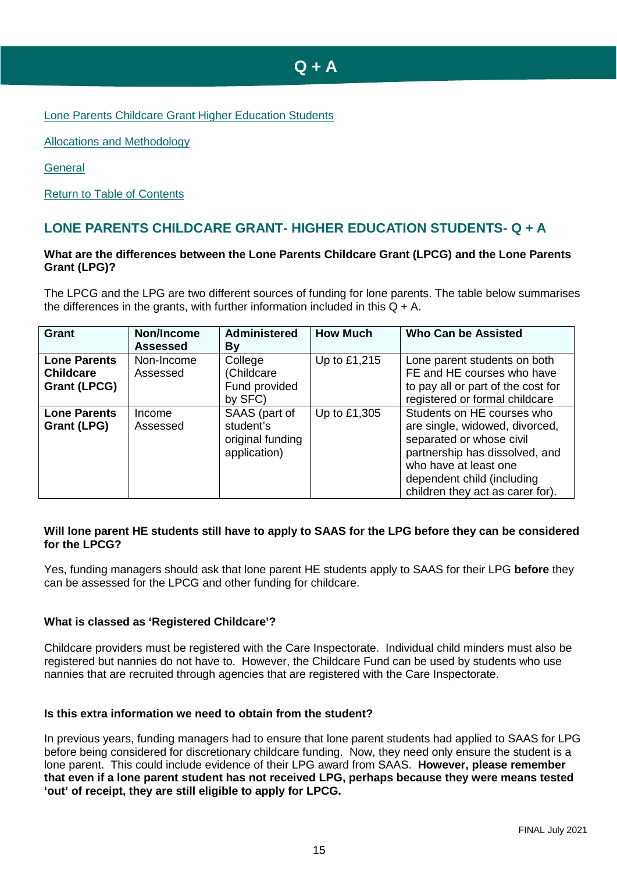# **Q + A**

<span id="page-14-0"></span>[Lone Parents Childcare Grant Higher Education Students](#page-14-1)

[Allocations and Methodology](#page-15-1)

**[General](#page-16-0)** 

[Return to Table of Contents](#page-2-0)

# <span id="page-14-1"></span>**LONE PARENTS CHILDCARE GRANT- HIGHER EDUCATION STUDENTS- Q + A**

#### **What are the differences between the Lone Parents Childcare Grant (LPCG) and the Lone Parents Grant (LPG)?**

The LPCG and the LPG are two different sources of funding for lone parents. The table below summarises the differences in the grants, with further information included in this  $Q + A$ .

| <b>Grant</b>                                                   | Non/Income<br>Assessed | <b>Administered</b><br>By                                      | <b>How Much</b> | <b>Who Can be Assisted</b>                                                                                                                                                                                            |
|----------------------------------------------------------------|------------------------|----------------------------------------------------------------|-----------------|-----------------------------------------------------------------------------------------------------------------------------------------------------------------------------------------------------------------------|
| <b>Lone Parents</b><br><b>Childcare</b><br><b>Grant (LPCG)</b> | Non-Income<br>Assessed | College<br>(Childcare<br>Fund provided<br>by SFC)              | Up to £1,215    | Lone parent students on both<br>FE and HE courses who have<br>to pay all or part of the cost for<br>registered or formal childcare                                                                                    |
| <b>Lone Parents</b><br>Grant (LPG)                             | Income<br>Assessed     | SAAS (part of<br>student's<br>original funding<br>application) | Up to £1,305    | Students on HE courses who<br>are single, widowed, divorced,<br>separated or whose civil<br>partnership has dissolved, and<br>who have at least one<br>dependent child (including<br>children they act as carer for). |

#### **Will lone parent HE students still have to apply to SAAS for the LPG before they can be considered for the LPCG?**

Yes, funding managers should ask that lone parent HE students apply to SAAS for their LPG **before** they can be assessed for the LPCG and other funding for childcare.

#### **What is classed as 'Registered Childcare'?**

Childcare providers must be registered with the Care Inspectorate. Individual child minders must also be registered but nannies do not have to. However, the Childcare Fund can be used by students who use nannies that are recruited through agencies that are registered with the Care Inspectorate.

#### **Is this extra information we need to obtain from the student?**

In previous years, funding managers had to ensure that lone parent students had applied to SAAS for LPG before being considered for discretionary childcare funding. Now, they need only ensure the student is a lone parent. This could include evidence of their LPG award from SAAS. **However, please remember that even if a lone parent student has not received LPG, perhaps because they were means tested 'out' of receipt, they are still eligible to apply for LPCG.**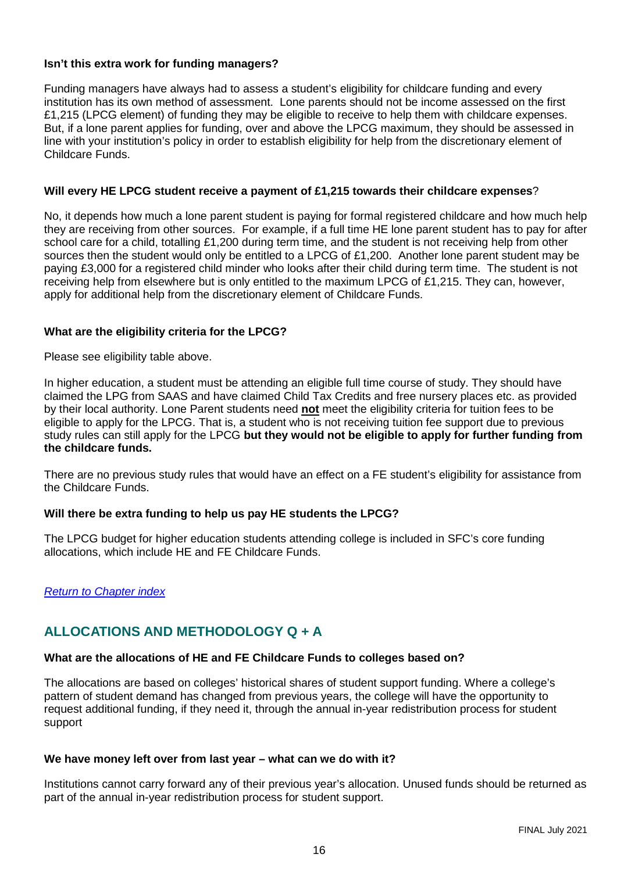#### **Isn't this extra work for funding managers?**

Funding managers have always had to assess a student's eligibility for childcare funding and every institution has its own method of assessment. Lone parents should not be income assessed on the first £1,215 (LPCG element) of funding they may be eligible to receive to help them with childcare expenses. But, if a lone parent applies for funding, over and above the LPCG maximum, they should be assessed in line with your institution's policy in order to establish eligibility for help from the discretionary element of Childcare Funds.

#### **Will every HE LPCG student receive a payment of £1,215 towards their childcare expenses**?

No, it depends how much a lone parent student is paying for formal registered childcare and how much help they are receiving from other sources. For example, if a full time HE lone parent student has to pay for after school care for a child, totalling £1,200 during term time, and the student is not receiving help from other sources then the student would only be entitled to a LPCG of £1,200. Another lone parent student may be paying £3,000 for a registered child minder who looks after their child during term time. The student is not receiving help from elsewhere but is only entitled to the maximum LPCG of £1,215. They can, however, apply for additional help from the discretionary element of Childcare Funds.

#### **What are the eligibility criteria for the LPCG?**

Please see eligibility table above.

In higher education, a student must be attending an eligible full time course of study. They should have claimed the LPG from SAAS and have claimed Child Tax Credits and free nursery places etc. as provided by their local authority. Lone Parent students need **not** meet the eligibility criteria for tuition fees to be eligible to apply for the LPCG. That is, a student who is not receiving tuition fee support due to previous study rules can still apply for the LPCG **but they would not be eligible to apply for further funding from the childcare funds.**

There are no previous study rules that would have an effect on a FE student's eligibility for assistance from the Childcare Funds.

#### **Will there be extra funding to help us pay HE students the LPCG?**

The LPCG budget for higher education students attending college is included in SFC's core funding allocations, which include HE and FE Childcare Funds.

#### <span id="page-15-1"></span>*[Return to Chapter index](#page-14-0)*

# <span id="page-15-0"></span>**ALLOCATIONS AND METHODOLOGY Q + A**

#### **What are the allocations of HE and FE Childcare Funds to colleges based on?**

The allocations are based on colleges' historical shares of student support funding. Where a college's pattern of student demand has changed from previous years, the college will have the opportunity to request additional funding, if they need it, through the annual in-year redistribution process for student support

#### **We have money left over from last year – what can we do with it?**

Institutions cannot carry forward any of their previous year's allocation. Unused funds should be returned as part of the annual in-year redistribution process for student support.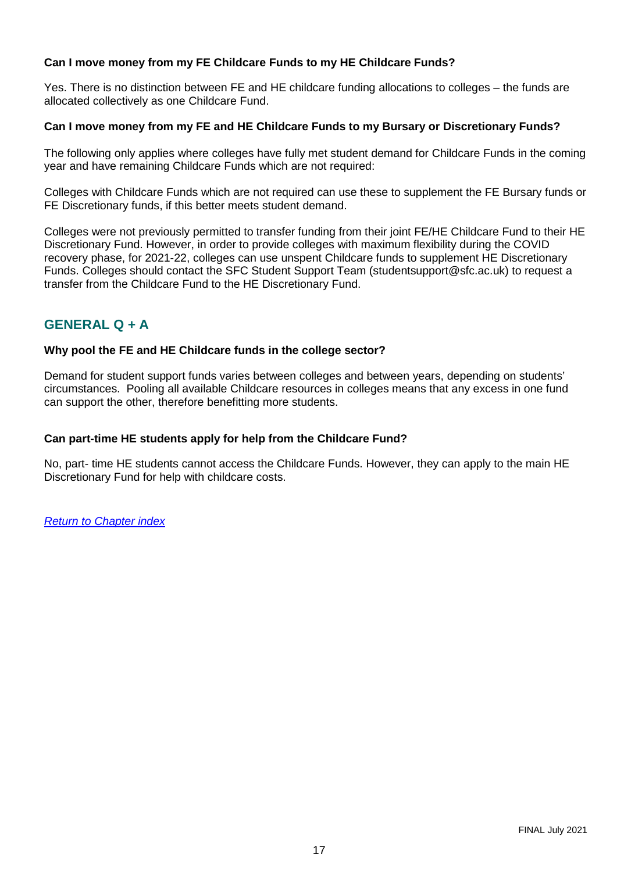## **Can I move money from my FE Childcare Funds to my HE Childcare Funds?**

Yes. There is no distinction between FE and HE childcare funding allocations to colleges – the funds are allocated collectively as one Childcare Fund.

#### **Can I move money from my FE and HE Childcare Funds to my Bursary or Discretionary Funds?**

The following only applies where colleges have fully met student demand for Childcare Funds in the coming year and have remaining Childcare Funds which are not required:

Colleges with Childcare Funds which are not required can use these to supplement the FE Bursary funds or FE Discretionary funds, if this better meets student demand.

Colleges were not previously permitted to transfer funding from their joint FE/HE Childcare Fund to their HE Discretionary Fund. However, in order to provide colleges with maximum flexibility during the COVID recovery phase, for 2021-22, colleges can use unspent Childcare funds to supplement HE Discretionary Funds. Colleges should contact the SFC Student Support Team (studentsupport@sfc.ac.uk) to request a transfer from the Childcare Fund to the HE Discretionary Fund.

# <span id="page-16-0"></span>**GENERAL Q + A**

#### **Why pool the FE and HE Childcare funds in the college sector?**

Demand for student support funds varies between colleges and between years, depending on students' circumstances. Pooling all available Childcare resources in colleges means that any excess in one fund can support the other, therefore benefitting more students.

#### **Can part-time HE students apply for help from the Childcare Fund?**

No, part- time HE students cannot access the Childcare Funds. However, they can apply to the main HE Discretionary Fund for help with childcare costs.

*[Return to Chapter index](#page-14-0)*